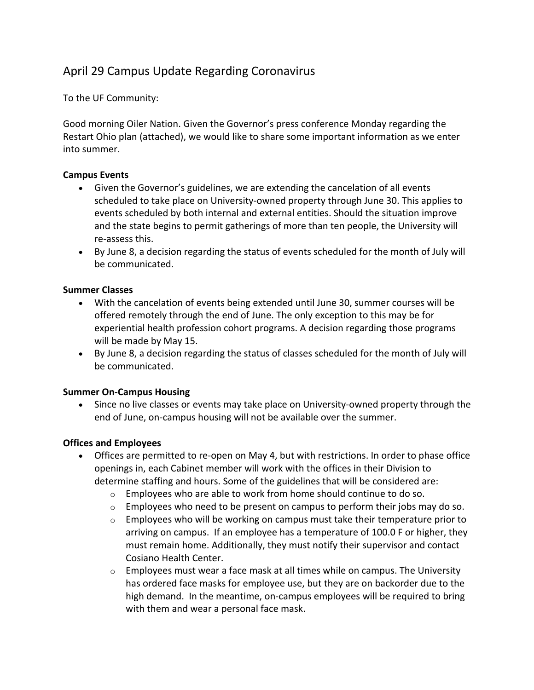# April 29 Campus Update Regarding Coronavirus

To the UF Community:

Good morning Oiler Nation. Given the Governor's press conference Monday regarding the Restart Ohio plan (attached), we would like to share some important information as we enter into summer.

# **Campus Events**

- Given the Governor's guidelines, we are extending the cancelation of all events scheduled to take place on University-owned property through June 30. This applies to events scheduled by both internal and external entities. Should the situation improve and the state begins to permit gatherings of more than ten people, the University will re-assess this.
- By June 8, a decision regarding the status of events scheduled for the month of July will be communicated.

## **Summer Classes**

- With the cancelation of events being extended until June 30, summer courses will be offered remotely through the end of June. The only exception to this may be for experiential health profession cohort programs. A decision regarding those programs will be made by May 15.
- By June 8, a decision regarding the status of classes scheduled for the month of July will be communicated.

#### **Summer On-Campus Housing**

• Since no live classes or events may take place on University-owned property through the end of June, on-campus housing will not be available over the summer.

# **Offices and Employees**

- Offices are permitted to re-open on May 4, but with restrictions. In order to phase office openings in, each Cabinet member will work with the offices in their Division to determine staffing and hours. Some of the guidelines that will be considered are:
	- o Employees who are able to work from home should continue to do so.
	- $\circ$  Employees who need to be present on campus to perform their jobs may do so.
	- $\circ$  Employees who will be working on campus must take their temperature prior to arriving on campus. If an employee has a temperature of 100.0 F or higher, they must remain home. Additionally, they must notify their supervisor and contact Cosiano Health Center.
	- $\circ$  Employees must wear a face mask at all times while on campus. The University has ordered face masks for employee use, but they are on backorder due to the high demand. In the meantime, on-campus employees will be required to bring with them and wear a personal face mask.